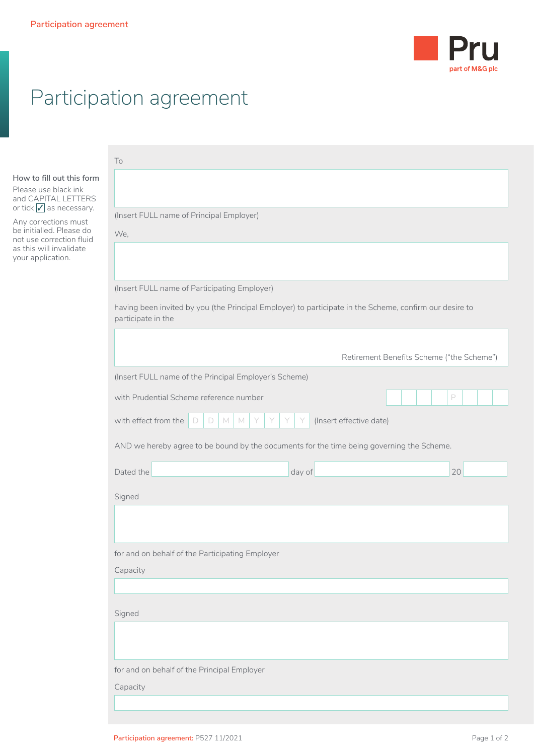

## Participation agreement

|                                                                                                                                                                                                                                               | To                                                                                                                            |                                           |
|-----------------------------------------------------------------------------------------------------------------------------------------------------------------------------------------------------------------------------------------------|-------------------------------------------------------------------------------------------------------------------------------|-------------------------------------------|
| How to fill out this form<br>Please use black ink<br>and CAPITAL LETTERS<br>or tick $\sqrt{\ }$ as necessary.<br>Any corrections must<br>be initialled. Please do<br>not use correction fluid<br>as this will invalidate<br>your application. |                                                                                                                               |                                           |
|                                                                                                                                                                                                                                               | (Insert FULL name of Principal Employer)<br>We,                                                                               |                                           |
|                                                                                                                                                                                                                                               |                                                                                                                               |                                           |
|                                                                                                                                                                                                                                               | (Insert FULL name of Participating Employer)                                                                                  |                                           |
|                                                                                                                                                                                                                                               | having been invited by you (the Principal Employer) to participate in the Scheme, confirm our desire to<br>participate in the |                                           |
|                                                                                                                                                                                                                                               |                                                                                                                               | Retirement Benefits Scheme ("the Scheme") |
|                                                                                                                                                                                                                                               | (Insert FULL name of the Principal Employer's Scheme)                                                                         |                                           |
|                                                                                                                                                                                                                                               | with Prudential Scheme reference number                                                                                       | P                                         |
|                                                                                                                                                                                                                                               | with effect from the<br>M<br>M<br>(Insert effective date)<br>D<br>D                                                           |                                           |
|                                                                                                                                                                                                                                               | AND we hereby agree to be bound by the documents for the time being governing the Scheme.                                     |                                           |
|                                                                                                                                                                                                                                               | Dated the<br>day of                                                                                                           | 20                                        |
|                                                                                                                                                                                                                                               | Signed                                                                                                                        |                                           |
|                                                                                                                                                                                                                                               |                                                                                                                               |                                           |
|                                                                                                                                                                                                                                               | for and on behalf of the Participating Employer                                                                               |                                           |
|                                                                                                                                                                                                                                               | Capacity                                                                                                                      |                                           |
|                                                                                                                                                                                                                                               |                                                                                                                               |                                           |
|                                                                                                                                                                                                                                               | Signed                                                                                                                        |                                           |
|                                                                                                                                                                                                                                               |                                                                                                                               |                                           |
|                                                                                                                                                                                                                                               | for and on behalf of the Principal Employer                                                                                   |                                           |
|                                                                                                                                                                                                                                               | Capacity                                                                                                                      |                                           |